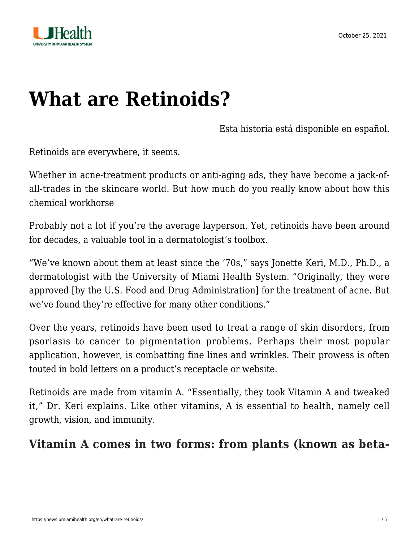



# **[What are Retinoids?](https://news.umiamihealth.org/en/what-are-retinoids/)**

[Esta historia está disponible en español.](https://news.umiamihealth.org/es/que-son-los-retinoides/)

Retinoids are everywhere, it seems.

Whether in acne-treatment products or anti-aging ads, they have become a jack-ofall-trades in the skincare world. But how much do you really know about how this chemical workhorse

Probably not a lot if you're the average layperson. Yet, retinoids have been around for decades, a valuable tool in a dermatologist's toolbox.

"We've known about them at least since the '70s," says Jonette Keri, M.D., Ph.D., a dermatologist with the University of Miami Health System. "Originally, they were approved [by the U.S. Food and Drug Administration] for the treatment of acne. But we've found they're effective for many other conditions."

Over the years, retinoids have been used to treat a range of skin disorders, from psoriasis to cancer to pigmentation problems. Perhaps their most popular application, however, is combatting fine lines and wrinkles. Their prowess is often touted in bold letters on a product's receptacle or website.

Retinoids are made from vitamin A. "Essentially, they took Vitamin A and tweaked it," Dr. Keri explains. Like other vitamins, A is essential to health, namely cell growth, vision, and immunity.

#### **Vitamin A comes in two forms: from plants (known as beta-**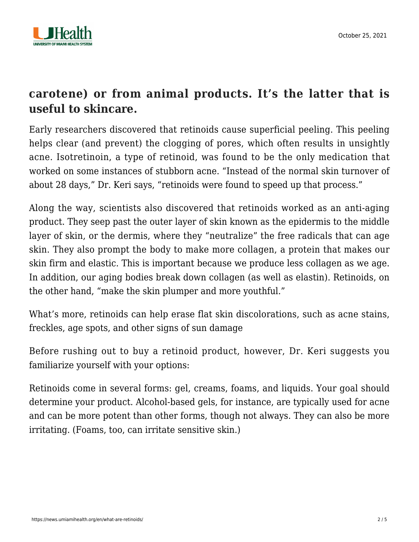

## **carotene) or from animal products. It's the latter that is useful to skincare.**

Early researchers discovered that retinoids cause superficial peeling. This peeling helps clear (and prevent) the clogging of pores, which often results in unsightly acne. Isotretinoin, a type of retinoid, was found to be the only medication that worked on some instances of stubborn acne. "Instead of the normal skin turnover of about 28 days," Dr. Keri says, "retinoids were found to speed up that process."

Along the way, scientists also discovered that retinoids worked as an anti-aging product. They seep past the outer layer of skin known as the epidermis to the middle layer of skin, or the dermis, where they "neutralize" the free radicals that can age skin. They also prompt the body to make more collagen, a protein that makes our skin firm and elastic. This is important because we produce less collagen as we age. In addition, our aging bodies break down collagen (as well as elastin). Retinoids, on the other hand, "make the skin plumper and more youthful."

What's more, retinoids can help erase flat skin discolorations, such as acne stains, freckles, age spots, and other signs of sun damage

Before rushing out to buy a retinoid product, however, Dr. Keri suggests you familiarize yourself with your options:

Retinoids come in several forms: gel, creams, foams, and liquids. Your goal should determine your product. Alcohol-based gels, for instance, are typically used for acne and can be more potent than other forms, though not always. They can also be more irritating. (Foams, too, can irritate sensitive skin.)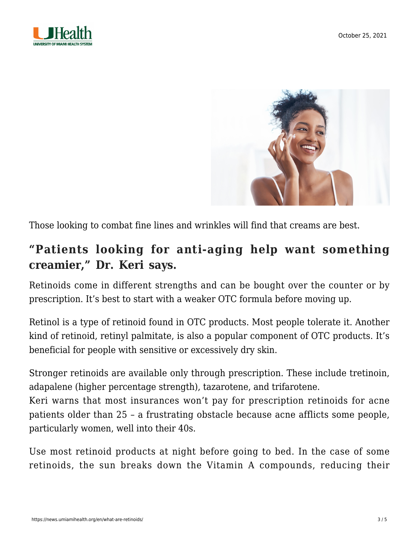



Those looking to combat fine lines and wrinkles will find that creams are best.

### **"Patients looking for anti-aging help want something creamier," Dr. Keri says.**

Retinoids come in different strengths and can be bought over the counter or by prescription. It's best to start with a weaker OTC formula before moving up.

Retinol is a type of retinoid found in OTC products. Most people tolerate it. Another kind of retinoid, retinyl palmitate, is also a popular component of OTC products. It's beneficial for people with sensitive or excessively dry skin.

Stronger retinoids are available only through prescription. These include tretinoin, adapalene (higher percentage strength), tazarotene, and trifarotene.

Keri warns that most insurances won't pay for prescription retinoids for acne patients older than 25 – a frustrating obstacle because acne afflicts some people, particularly women, well into their 40s.

Use most retinoid products at night before going to bed. In the case of some retinoids, the sun breaks down the Vitamin A compounds, reducing their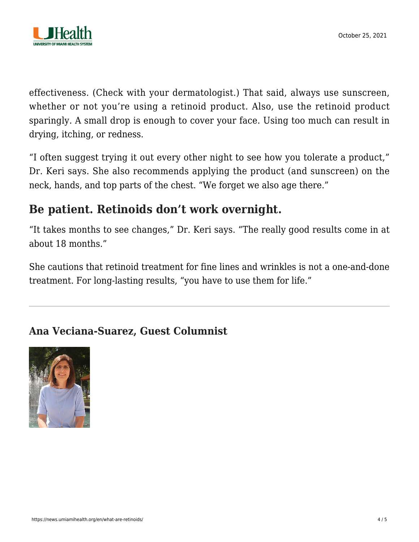

effectiveness. (Check with your dermatologist.) That said, always use sunscreen, whether or not you're using a retinoid product. Also, use the retinoid product sparingly. A small drop is enough to cover your face. Using too much can result in drying, itching, or redness.

"I often suggest trying it out every other night to see how you tolerate a product," Dr. Keri says. She also recommends applying the product (and sunscreen) on the neck, hands, and top parts of the chest. "We forget we also age there."

## **Be patient. Retinoids don't work overnight.**

"It takes months to see changes," Dr. Keri says. "The really good results come in at about 18 months."

She cautions that retinoid treatment for fine lines and wrinkles is not a one-and-done treatment. For long-lasting results, "you have to use them for life."

#### **Ana Veciana-Suarez, Guest Columnist**